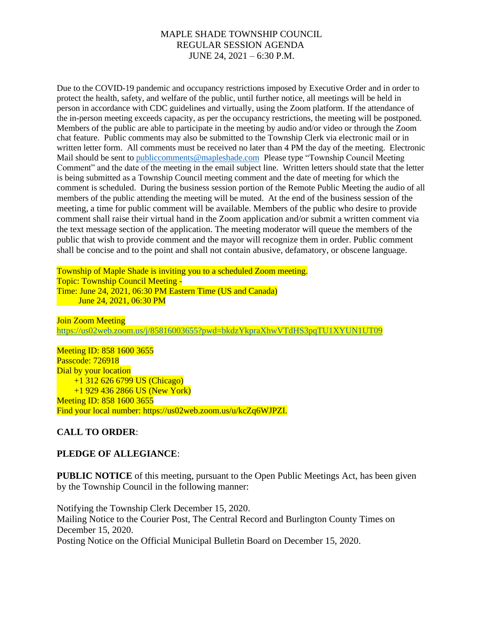Due to the COVID-19 pandemic and occupancy restrictions imposed by Executive Order and in order to protect the health, safety, and welfare of the public, until further notice, all meetings will be held in person in accordance with CDC guidelines and virtually, using the Zoom platform. If the attendance of the in-person meeting exceeds capacity, as per the occupancy restrictions, the meeting will be postponed. Members of the public are able to participate in the meeting by audio and/or video or through the Zoom chat feature. Public comments may also be submitted to the Township Clerk via electronic mail or in written letter form. All comments must be received no later than 4 PM the day of the meeting. Electronic Mail should be sent to [publiccomments@mapleshade.com](mailto:publiccomments@mapleshade.com) Please type "Township Council Meeting Comment" and the date of the meeting in the email subject line. Written letters should state that the letter is being submitted as a Township Council meeting comment and the date of meeting for which the comment is scheduled. During the business session portion of the Remote Public Meeting the audio of all members of the public attending the meeting will be muted. At the end of the business session of the meeting, a time for public comment will be available. Members of the public who desire to provide comment shall raise their virtual hand in the Zoom application and/or submit a written comment via the text message section of the application. The meeting moderator will queue the members of the public that wish to provide comment and the mayor will recognize them in order. Public comment shall be concise and to the point and shall not contain abusive, defamatory, or obscene language.

Township of Maple Shade is inviting you to a scheduled Zoom meeting. Topic: Township Council Meeting - Time: June 24, 2021, 06:30 PM Eastern Time (US and Canada) June 24, 2021, 06:30 PM

Join Zoom Meeting <https://us02web.zoom.us/j/85816003655?pwd=bkdzYkpraXhwVTdHS3pqTU1XYUN1UT09>

Meeting ID: 858 1600 3655 Passcode: 726918 Dial by your location +1 312 626 6799 US (Chicago) +1 929 436 2866 US (New York) Meeting ID: 858 1600 3655 Find your local number: https://us02web.zoom.us/u/kcZq6WJPZI.

# **CALL TO ORDER**:

## **PLEDGE OF ALLEGIANCE**:

**PUBLIC NOTICE** of this meeting, pursuant to the Open Public Meetings Act, has been given by the Township Council in the following manner:

Notifying the Township Clerk December 15, 2020. Mailing Notice to the Courier Post, The Central Record and Burlington County Times on December 15, 2020. Posting Notice on the Official Municipal Bulletin Board on December 15, 2020.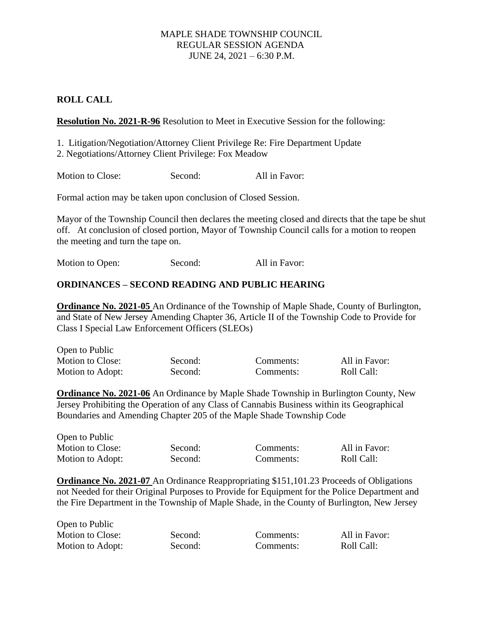## **ROLL CALL**

**Resolution No. 2021-R-96** Resolution to Meet in Executive Session for the following:

1. Litigation/Negotiation/Attorney Client Privilege Re: Fire Department Update 2. Negotiations/Attorney Client Privilege: Fox Meadow

Motion to Close: Second: All in Favor:

Formal action may be taken upon conclusion of Closed Session.

Mayor of the Township Council then declares the meeting closed and directs that the tape be shut off. At conclusion of closed portion, Mayor of Township Council calls for a motion to reopen the meeting and turn the tape on.

Motion to Open: Second: All in Favor:

## **ORDINANCES – SECOND READING AND PUBLIC HEARING**

**Ordinance No. 2021-05** An Ordinance of the Township of Maple Shade, County of Burlington, and State of New Jersey Amending Chapter 36, Article II of the Township Code to Provide for Class I Special Law Enforcement Officers (SLEOs)

| Open to Public   |         |           |               |
|------------------|---------|-----------|---------------|
| Motion to Close: | Second: | Comments: | All in Favor: |
| Motion to Adopt: | Second: | Comments: | Roll Call:    |

**Ordinance No. 2021-06** An Ordinance by Maple Shade Township in Burlington County, New Jersey Prohibiting the Operation of any Class of Cannabis Business within its Geographical Boundaries and Amending Chapter 205 of the Maple Shade Township Code

| Open to Public   |         |           |               |
|------------------|---------|-----------|---------------|
| Motion to Close: | Second: | Comments: | All in Favor: |
| Motion to Adopt: | Second: | Comments: | Roll Call:    |

**Ordinance No. 2021-07** An Ordinance Reappropriating \$151,101.23 Proceeds of Obligations not Needed for their Original Purposes to Provide for Equipment for the Police Department and the Fire Department in the Township of Maple Shade, in the County of Burlington, New Jersey

| Open to Public          |         |           |               |
|-------------------------|---------|-----------|---------------|
| <b>Motion to Close:</b> | Second: | Comments: | All in Favor: |
| Motion to Adopt:        | Second: | Comments: | Roll Call:    |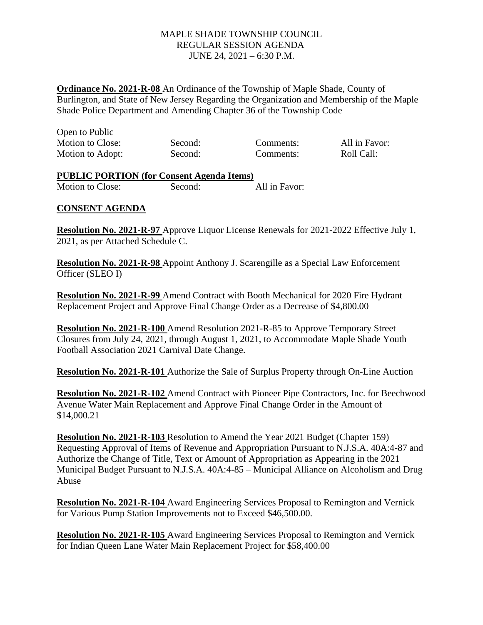**Ordinance No. 2021-R-08** An Ordinance of the Township of Maple Shade, County of Burlington, and State of New Jersey Regarding the Organization and Membership of the Maple Shade Police Department and Amending Chapter 36 of the Township Code

| Open to Public   |         |           |               |
|------------------|---------|-----------|---------------|
| Motion to Close: | Second: | Comments: | All in Favor: |
| Motion to Adopt: | Second: | Comments: | Roll Call:    |

# **PUBLIC PORTION (for Consent Agenda Items)**

Motion to Close: Second: All in Favor:

## **CONSENT AGENDA**

**Resolution No. 2021-R-97** Approve Liquor License Renewals for 2021-2022 Effective July 1, 2021, as per Attached Schedule C.

**Resolution No. 2021-R-98** Appoint Anthony J. Scarengille as a Special Law Enforcement Officer (SLEO I)

**Resolution No. 2021-R-99** Amend Contract with Booth Mechanical for 2020 Fire Hydrant Replacement Project and Approve Final Change Order as a Decrease of \$4,800.00

**Resolution No. 2021-R-100** Amend Resolution 2021-R-85 to Approve Temporary Street Closures from July 24, 2021, through August 1, 2021, to Accommodate Maple Shade Youth Football Association 2021 Carnival Date Change.

**Resolution No. 2021-R-101** Authorize the Sale of Surplus Property through On-Line Auction

**Resolution No. 2021-R-102** Amend Contract with Pioneer Pipe Contractors, Inc. for Beechwood Avenue Water Main Replacement and Approve Final Change Order in the Amount of \$14,000.21

**Resolution No. 2021-R-103** Resolution to Amend the Year 2021 Budget (Chapter 159) Requesting Approval of Items of Revenue and Appropriation Pursuant to N.J.S.A. 40A:4-87 and Authorize the Change of Title, Text or Amount of Appropriation as Appearing in the 2021 Municipal Budget Pursuant to N.J.S.A. 40A:4-85 – Municipal Alliance on Alcoholism and Drug Abuse

**Resolution No. 2021-R-104** Award Engineering Services Proposal to Remington and Vernick for Various Pump Station Improvements not to Exceed \$46,500.00.

**Resolution No. 2021-R-105** Award Engineering Services Proposal to Remington and Vernick for Indian Queen Lane Water Main Replacement Project for \$58,400.00